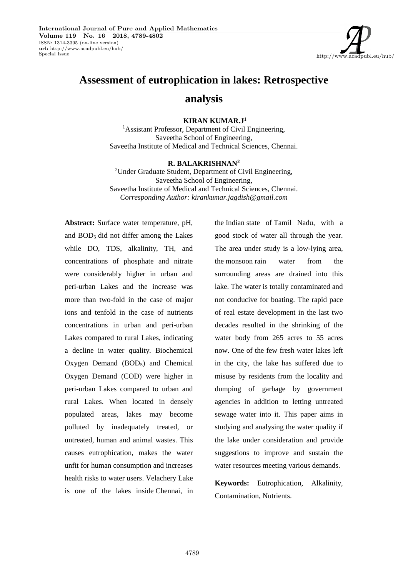http://www.acadpubl.eu/hub/

# **Assessment of eutrophication in lakes: Retrospective**

# **analysis**

## **KIRAN KUMAR.J<sup>1</sup>**

<sup>1</sup>Assistant Professor, Department of Civil Engineering, Saveetha School of Engineering, Saveetha Institute of Medical and Technical Sciences, Chennai.

### **R. BALAKRISHNAN<sup>2</sup>**

<sup>2</sup>Under Graduate Student, Department of Civil Engineering, Saveetha School of Engineering, Saveetha Institute of Medical and Technical Sciences, Chennai. *Corresponding Author: kirankumar.jagdish@gmail.com*

**Abstract:** Surface water temperature, pH, and BOD<sup>5</sup> did not differ among the Lakes while DO, TDS, alkalinity, TH, and concentrations of phosphate and nitrate were considerably higher in urban and peri-urban Lakes and the increase was more than two-fold in the case of major ions and tenfold in the case of nutrients concentrations in urban and peri-urban Lakes compared to rural Lakes, indicating a decline in water quality. Biochemical Oxygen Demand (BOD<sub>5</sub>) and Chemical Oxygen Demand (COD) were higher in peri-urban Lakes compared to urban and rural Lakes. When located in densely populated areas, lakes may become polluted by inadequately treated, or untreated, human and animal wastes. This causes eutrophication, makes the water unfit for human consumption and increases health risks to water users. Velachery Lake is one of the lakes inside Chennai, in the Indian state of Tamil Nadu, with a good stock of water all through the year. The area under study is a low-lying area, the monsoon rain water from the surrounding areas are drained into this lake. The water is totally contaminated and not conducive for boating. The rapid pace of real estate development in the last two decades resulted in the shrinking of the water body from 265 acres to 55 acres now. One of the few fresh water lakes left in the city, the lake has suffered due to misuse by residents from the locality and dumping of garbage by government agencies in addition to letting untreated sewage water into it. This paper aims in studying and analysing the water quality if the lake under consideration and provide suggestions to improve and sustain the water resources meeting various demands.

**Keywords:** Eutrophication, Alkalinity, Contamination, Nutrients.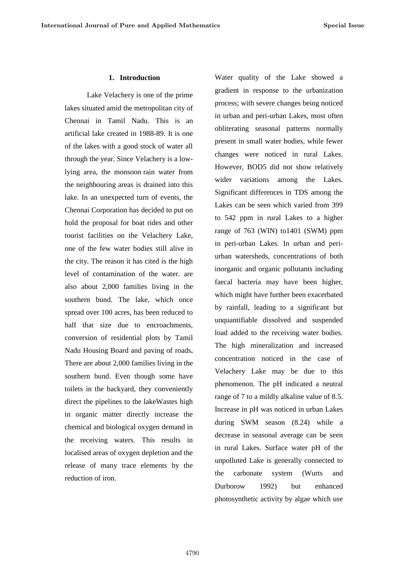#### **1. Introduction**

Lake Velachery is one of the prime lakes situated amid the metropolitan city of Chennai in Tamil Nadu. This is an artificial lake created in 1988-89. It is one of the lakes with a good stock of water all through the year. Since Velachery is a lowlying area, the monsoon rain water from the neighbouring areas is drained into this lake. In an unexpected turn of events, the Chennai Corporation has decided to put on hold the proposal for boat rides and other tourist facilities on the Velachery Lake, one of the few water bodies still alive in the city. The reason it has cited is the high level of contamination of the water. are also about 2,000 families living in the southern bund. The lake, which once spread over 100 acres, has been reduced to half that size due to encroachments, conversion of residential plots by Tamil Nadu Housing Board and paving of roads**.** There are about 2,000 families living in the southern bund. Even though some have toilets in the backyard, they conveniently direct the pipelines to the lakeWastes high in organic matter directly increase the chemical and biological oxygen demand in the receiving waters. This results in localised areas of oxygen depletion and the release of many trace elements by the reduction of iron.

Water quality of the Lake showed a gradient in response to the urbanization process; with severe changes being noticed in urban and peri-urban Lakes, most often obliterating seasonal patterns normally present in small water bodies, while fewer changes were noticed in rural Lakes. However, BOD5 did not show relatively wider variations among the Lakes. Significant differences in TDS among the Lakes can be seen which varied from 399 to 542 ppm in rural Lakes to a higher range of 763 (WIN) to1401 (SWM) ppm in peri-urban Lakes. In urban and peri urban watersheds, concentrations of both inorganic and organic pollutants including faecal bacteria may have been higher, which might have further been exacerbated by rainfall, leading to a significant but unquantifiable dissolved and suspended load added to the receiving water bodies. The high mineralization and increased concentration noticed in the case of Velachery Lake may be due to this phenomenon. The pH indicated a neutral range of 7 to a mildly alkaline value of 8.5. Increase in pH was noticed in urban Lakes during SWM season (8.24) while a decrease in seasonal average can be seen in rural Lakes. Surface water pH of the unpolluted Lake is generally connected to the carbonate system (Wurts and Durborow 1992) but enhanced photosynthetic activity by algae which use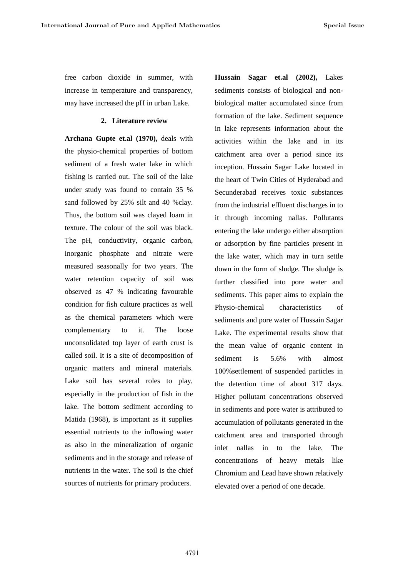free carbon dioxide in summer, with increase in temperature and transparency, may have increased the pH in urban Lake.

#### **2. Literature review**

**Archana Gupte et.al (1970),** deals with the physio-chemical properties of bottom sediment of a fresh water lake in which fishing is carried out. The soil of the lake under study was found to contain 35 % sand followed by 25% silt and 40 %clay. Thus, the bottom soil was clayed loam in texture. The colour of the soil was black. The pH, conductivity, organic carbon, inorganic phosphate and nitrate were measured seasonally for two years. The water retention capacity of soil was observed as 47 % indicating favourable condition for fish culture practices as well as the chemical parameters which were complementary to it. The loose unconsolidated top layer of earth crust is called soil. It is a site of decomposition of organic matters and mineral materials. Lake soil has several roles to play, especially in the production of fish in the lake. The bottom sediment according to Matida (1968), is important as it supplies essential nutrients to the inflowing water as also in the mineralization of organic sediments and in the storage and release of nutrients in the water. The soil is the chief sources of nutrients for primary producers.

**Hussain Sagar et.al (2002),** Lakes sediments consists of biological and non biological matter accumulated since from formation of the lake. Sediment sequence in lake represents information about the activities within the lake and in its catchment area over a period since its inception. Hussain Sagar Lake located in the heart of Twin Cities of Hyderabad and Secunderabad receives toxic substances from the industrial effluent discharges in to it through incoming nallas. Pollutants entering the lake undergo either absorption or adsorption by fine particles present in the lake water, which may in turn settle down in the form of sludge. The sludge is further classified into pore water and sediments. This paper aims to explain the Physio-chemical characteristics of sediments and pore water of Hussain Sagar Lake. The experimental results show that the mean value of organic content in sediment is 5.6% with almost 100%settlement of suspended particles in the detention time of about 317 days. Higher pollutant concentrations observed in sediments and pore water is attributed to accumulation of pollutants generated in the catchment area and transported through inlet nallas in to the lake. The concentrations of heavy metals like Chromium and Lead have shown relatively elevated over a period of one decade.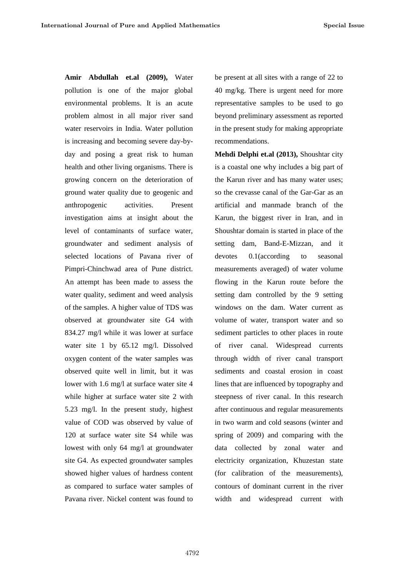**Amir Abdullah et.al (2009),** Water pollution is one of the major global environmental problems. It is an acute problem almost in all major river sand water reservoirs in India. Water pollution is increasing and becoming severe day-by day and posing a great risk to human health and other living organisms. There is growing concern on the deterioration of ground water quality due to geogenic and anthropogenic activities. Present investigation aims at insight about the level of contaminants of surface water, groundwater and sediment analysis of selected locations of Pavana river of Pimpri-Chinchwad area of Pune district. An attempt has been made to assess the water quality, sediment and weed analysis of the samples. A higher value of TDS was observed at groundwater site G4 with 834.27 mg/l while it was lower at surface water site 1 by 65.12 mg/l. Dissolved oxygen content of the water samples was observed quite well in limit, but it was lower with 1.6 mg/l at surface water site 4 while higher at surface water site 2 with 5.23 mg/l. In the present study, highest value of COD was observed by value of 120 at surface water site S4 while was lowest with only 64 mg/l at groundwater site G4. As expected groundwater samples showed higher values of hardness content as compared to surface water samples of Pavana river. Nickel content was found to

be present at all sites with a range of 22 to 40 mg/kg. There is urgent need for more representative samples to be used to go beyond preliminary assessment as reported in the present study for making appropriate recommendations.

**Mehdi Delphi et.al (2013),** Shoushtar city is a coastal one why includes a big part of the Karun river and has many water uses; so the crevasse canal of the Gar-Gar as an artificial and manmade branch of the Karun, the biggest river in Iran, and in Shoushtar domain is started in place of the setting dam, Band-E-Mizzan, and it devotes 0.1(according to seasonal measurements averaged) of water volume flowing in the Karun route before the setting dam controlled by the 9 setting windows on the dam. Water current as volume of water, transport water and so sediment particles to other places in route of river canal. Widespread currents through width of river canal transport sediments and coastal erosion in coast lines that are influenced by topography and steepness of river canal. In this research after continuous and regular measurements in two warm and cold seasons (winter and spring of 2009) and comparing with the data collected by zonal water and electricity organization, Khuzestan state (for calibration of the measurements), contours of dominant current in the river width and widespread current with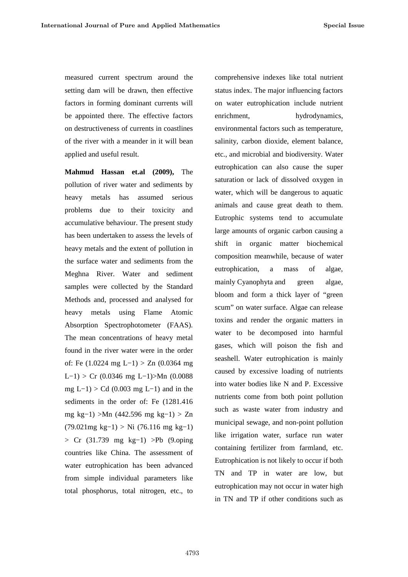measured current spectrum around the setting dam will be drawn, then effective factors in forming dominant currents will be appointed there. The effective factors enrichment, on destructiveness of currents in coastlines of the river with a meander in it will bean applied and useful result.

**Mahmud Hassan et.al (2009),** The pollution of river water and sediments by heavy metals has assumed serious problems due to their toxicity and accumulative behaviour. The present study has been undertaken to assess the levels of heavy metals and the extent of pollution in the surface water and sediments from the Meghna River. Water and sediment samples were collected by the Standard Methods and, processed and analysed for heavy metals using Flame Atomic Absorption Spectrophotometer (FAAS). The mean concentrations of heavy metal found in the river water were in the order of: Fe (1.0224 mg L−1) > Zn (0.0364 mg L−1) > Cr (0.0346 mg L−1)>Mn (0.0088 mg L−1) > Cd (0.003 mg L−1) and in the sediments in the order of: Fe (1281.416 mg kg−1) >Mn (442.596 mg kg−1) > Zn (79.021mg kg−1) > Ni (76.116 mg kg−1) > Cr (31.739 mg kg−1) >Pb (9.oping countries like China. The assessment of water eutrophication has been advanced from simple individual parameters like total phosphorus, total nitrogen, etc., to

comprehensive indexes like total nutrient status index. The major influencing factors on water eutrophication include nutrient hydrodynamics, environmental factors such as temperature, salinity, carbon dioxide, element balance, etc., and microbial and biodiversity. Water eutrophication can also cause the super saturation or lack of dissolved oxygen in water, which will be dangerous to aquatic animals and cause great death to them. Eutrophic systems tend to accumulate large amounts of organic carbon causing a shift in organic matter biochemical composition meanwhile, because of water eutrophication, a mass of algae, mainly Cyanophyta and green algae, bloom and form a thick layer of "green scum" on water surface. Algae can release toxins and render the organic matters in water to be decomposed into harmful gases, which will poison the fish and seashell. Water eutrophication is mainly caused by excessive loading of nutrients into water bodies like N and P. Excessive nutrients come from both point pollution such as waste water from industry and municipal sewage, and non-point pollution like irrigation water, surface run water containing fertilizer from farmland, etc. Eutrophication is not likely to occur if both TN and TP in water are low, but eutrophication may not occur in water high in TN and TP if other conditions such as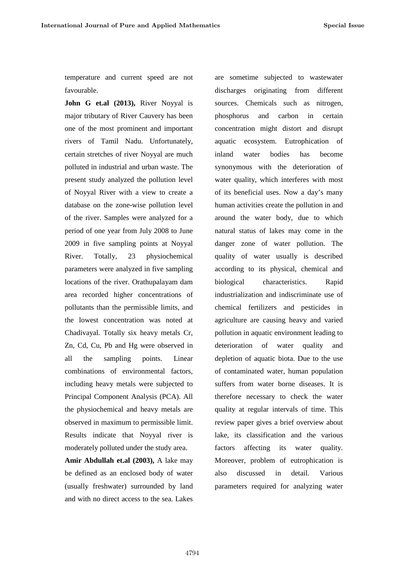temperature and current speed are not favourable.

**John G et.al (2013),** River Noyyal is major tributary of River Cauvery has been one of the most prominent and important rivers of Tamil Nadu. Unfortunately, certain stretches of river Noyyal are much polluted in industrial and urban waste. The present study analyzed the pollution level of Noyyal River with a view to create a database on the zone-wise pollution level of the river. Samples were analyzed for a period of one year from July 2008 to June 2009 in five sampling points at Noyyal River. Totally, 23 physiochemical parameters were analyzed in five sampling locations of the river. Orathupalayam dam area recorded higher concentrations of pollutants than the permissible limits, and the lowest concentration was noted at Chadivayal. Totally six heavy metals Cr, Zn, Cd, Cu, Pb and Hg were observed in all the sampling points. Linear combinations of environmental factors, including heavy metals were subjected to Principal Component Analysis (PCA). All the physiochemical and heavy metals are observed in maximum to permissible limit. Results indicate that Noyyal river is moderately polluted under the study area.

**Amir Abdullah et.al (2003),** A lake may be defined as an enclosed body of water (usually freshwater) surrounded by land and with no direct access to the sea. Lakes

are sometime subjected to wastewater discharges originating from different sources. Chemicals such as nitrogen, and carbon in certain concentration might distort and disrupt aquatic ecosystem. Eutrophication of water bodies has become synonymous with the deterioration of water quality, which interferes with most of its beneficial uses. Now a day's many human activities create the pollution in and around the water body, due to which natural status of lakes may come in the danger zone of water pollution. The quality of water usually is described according to its physical, chemical and characteristics. Rapid industrialization and indiscriminate use of chemical fertilizers and pesticides in agriculture are causing heavy and varied pollution in aquatic environment leading to deterioration of water quality and depletion of aquatic biota. Due to the use of contaminated water, human population suffers from water borne diseases. It is therefore necessary to check the water quality at regular intervals of time. This review paper gives a brief overview about lake, its classification and the various factors affecting its water quality. Moreover, problem of eutrophication is also discussed in detail. Various parameters required for analyzing water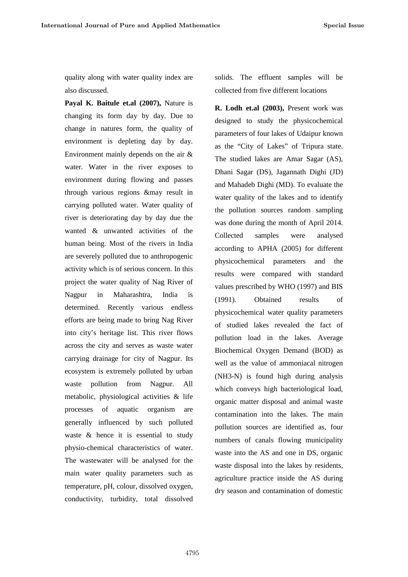quality along with water quality index are also discussed.

**Payal K. Baitule et.al (2007),** Nature is changing its form day by day. Due to change in natures form, the quality of environment is depleting day by day. Environment mainly depends on the air & water. Water in the river exposes to environment during flowing and passes through various regions &may result in carrying polluted water. Water quality of river is deteriorating day by day due the wanted & unwanted activities of the human being. Most of the rivers in India are severely polluted due to anthropogenic activity which is of serious concern. In this project the water quality of Nag River of Nagpur in Maharashtra, India is (1991). determined. Recently various endless efforts are being made to bring Nag River into city's heritage list. This river flows across the city and serves as waste water carrying drainage for city of Nagpur. Its ecosystem is extremely polluted by urban waste pollution from Nagpur. All metabolic, physiological activities & life processes of aquatic organism are generally influenced by such polluted waste & hence it is essential to study physio-chemical characteristics of water. The wastewater will be analysed for the main water quality parameters such as temperature, pH, colour, dissolved oxygen, conductivity, turbidity, total dissolved

solids. The effluent samples will be collected from five different locations

**R. Lodh et.al (2003),** Present work was designed to study the physicochemical parameters of four lakes of Udaipur known as the "City of Lakes" of Tripura state. The studied lakes are Amar Sagar (AS), Dhani Sagar (DS), Jagannath Dighi (JD) and Mahadeb Dighi (MD). To evaluate the water quality of the lakes and to identify the pollution sources random sampling was done during the month of April 2014. Collected samples were analysed according to APHA (2005) for different physicochemical parameters and the results were compared with standard values prescribed by WHO (1997) and BIS Obtained results of physicochemical water quality parameters of studied lakes revealed the fact of pollution load in the lakes. Average Biochemical Oxygen Demand (BOD) as well as the value of ammoniacal nitrogen (NH3-N) is found high during analysis which conveys high bacteriological load, organic matter disposal and animal waste contamination into the lakes. The main pollution sources are identified as, four numbers of canals flowing municipality waste into the AS and one in DS, organic waste disposal into the lakes by residents, agriculture practice inside the AS during dry season and contamination of domestic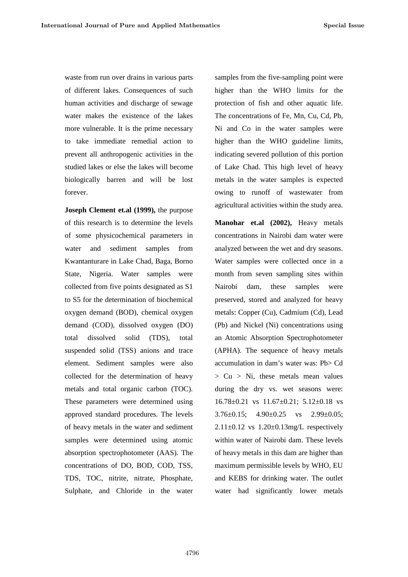waste from run over drains in various parts of different lakes. Consequences of such human activities and discharge of sewage water makes the existence of the lakes more vulnerable. It is the prime necessary to take immediate remedial action to prevent all anthropogenic activities in the studied lakes or else the lakes will become biologically barren and will be lost forever.

**Joseph Clement et.al (1999),** the purpose of this research is to determine the levels of some physicochemical parameters in water and sediment samples from Kwantanturare in Lake Chad, Baga, Borno State, Nigeria. Water samples were collected from five points designated as S1 to S5 for the determination of biochemical oxygen demand (BOD), chemical oxygen demand (COD), dissolved oxygen (DO) total dissolved solid (TDS), total suspended solid (TSS) anions and trace element. Sediment samples were also collected for the determination of heavy metals and total organic carbon (TOC). These parameters were determined using approved standard procedures. The levels of heavy metals in the water and sediment samples were determined using atomic absorption spectrophotometer (AAS). The concentrations of DO, BOD, COD, TSS, TDS, TOC, nitrite, nitrate, Phosphate, Sulphate, and Chloride in the water

samples from the five-sampling point were higher than the WHO limits for the protection of fish and other aquatic life. The concentrations of Fe, Mn, Cu, Cd, Pb, Ni and Co in the water samples were higher than the WHO guideline limits, indicating severed pollution of this portion of Lake Chad. This high level of heavy metals in the water samples is expected owing to runoff of wastewater from agricultural activities within the study area.

**Manohar et.al (2002),** Heavy metals concentrations in Nairobi dam water were analyzed between the wet and dry seasons. Water samples were collected once in a month from seven sampling sites within dam, these samples were preserved, stored and analyzed for heavy metals: Copper (Cu), Cadmium (Cd), Lead (Pb) and Nickel (Ni) concentrations using an Atomic Absorption Spectrophotometer (APHA). The sequence of heavy metals accumulation in dam's water was: Pb> Cd  $> Cu > Ni$ , these metals mean values during the dry vs. wet seasons were: 16.78±0.21 vs 11.67±0.21; 5.12±0.18 vs 3.76 $\pm$ 0.15; 4.90 $\pm$ 0.25 vs 2.99 $\pm$ 0.05;  $2.11\pm0.12$  vs  $1.20\pm0.13$ mg/L respectively within water of Nairobi dam. These levels of heavy metals in this dam are higher than maximum permissible levels by WHO, EU and KEBS for drinking water. The outlet water had significantly lower metals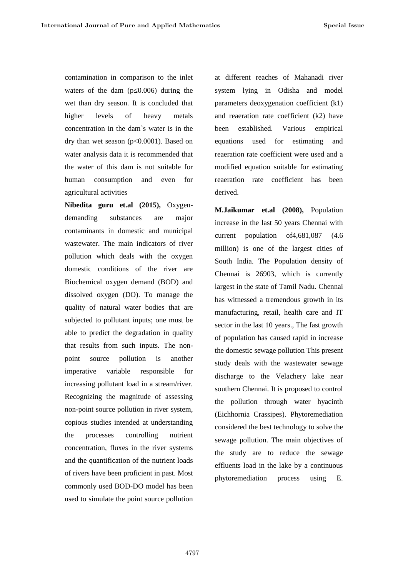contamination in comparison to the inlet waters of the dam  $(p\ 0.006)$  during the wet than dry season. It is concluded that higher levels of heavy metals concentration in the dam`s water is in the dry than wet season  $(p<0.0001)$ . Based on equations water analysis data it is recommended that the water of this dam is not suitable for human consumption and even for agricultural activities

**Nibedita guru et.al (2015),** Oxygen demanding substances are major contaminants in domestic and municipal wastewater. The main indicators of river pollution which deals with the oxygen domestic conditions of the river are Biochemical oxygen demand (BOD) and dissolved oxygen (DO). To manage the quality of natural water bodies that are subjected to pollutant inputs; one must be able to predict the degradation in quality that results from such inputs. The non point source pollution is another imperative variable responsible for increasing pollutant load in a stream/river. Recognizing the magnitude of assessing non-point source pollution in river system, copious studies intended at understanding the processes controlling nutrient concentration, fluxes in the river systems and the quantification of the nutrient loads of rivers have been proficient in past. Most commonly used BOD-DO model has been used to simulate the point source pollution

at different reaches of Mahanadi river system lying in Odisha and model parameters deoxygenation coefficient (k1) and reaeration rate coefficient (k2) have established. Various empirical used for estimating and reaeration rate coefficient were used and a modified equation suitable for estimating reaeration rate coefficient has been derived.

**M.Jaikumar et.al (2008),** Population increase in the last 50 years Chennai with current population of4,681,087 (4.6 million) is one of the largest cities of South India. The Population density of Chennai is 26903, which is currently largest in the state of Tamil Nadu. Chennai has witnessed a tremendous growth in its manufacturing, retail, health care and IT sector in the last 10 years., The fast growth of population has caused rapid in increase the domestic sewage pollution This present study deals with the wastewater sewage discharge to the Velachery lake near southern Chennai. It is proposed to control the pollution through water hyacinth (Eichhornia Crassipes). Phytoremediation considered the best technology to solve the sewage pollution. The main objectives of the study are to reduce the sewage effluents load in the lake by a continuous phytoremediation process using E.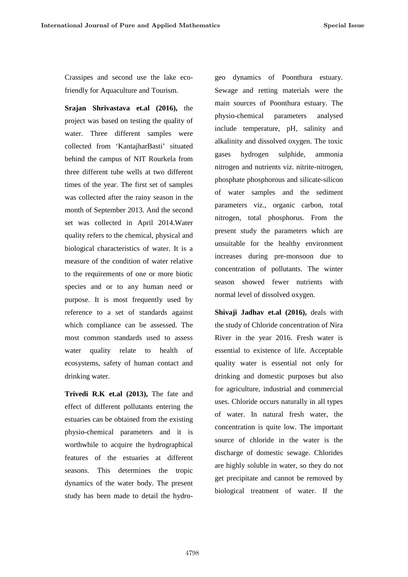Crassipes and second use the lake ecofriendly for Aquaculture and Tourism.

**Srajan Shrivastava et.al (2016),** the project was based on testing the quality of water. Three different samples were collected from 'KantajharBasti' situated behind the campus of NIT Rourkela from three different tube wells at two different times of the year. The first set of samples was collected after the rainy season in the month of September 2013. And the second set was collected in April 2014.Water quality refers to the chemical, physical and biological characteristics of water. It is a measure of the condition of water relative to the requirements of one or more biotic species and or to any human need or purpose. It is most frequently used by reference to a set of standards against which compliance can be assessed. The most common standards used to assess water quality relate to health of ecosystems, safety of human contact and drinking water.

**Trivedi R.K et.al (2013),** The fate and effect of different pollutants entering the estuaries can be obtained from the existing physio-chemical parameters and it is worthwhile to acquire the hydrographical features of the estuaries at different seasons. This determines the tropic dynamics of the water body. The present study has been made to detail the hydrogeo dynamics of Poonthura estuary. Sewage and retting materials were the main sources of Poonthura estuary. The physio-chemical parameters analysed include temperature, pH, salinity and alkalinity and dissolved oxygen. The toxic hydrogen sulphide, ammonia nitrogen and nutrients viz. nitrite-nitrogen, phosphate phosphorous and silicate-silicon of water samples and the sediment parameters viz., organic carbon, total nitrogen, total phosphorus. From the present study the parameters which are unsuitable for the healthy environment increases during pre-monsoon due to concentration of pollutants. The winter season showed fewer nutrients with normal level of dissolved oxygen.

**Shivaji Jadhav et.al (2016),** deals with the study of Chloride concentration of Nira River in the year 2016. Fresh water is essential to existence of life. Acceptable quality water is essential not only for drinking and domestic purposes but also for agriculture, industrial and commercial uses. Chloride occurs naturally in all types of water. In natural fresh water, the concentration is quite low. The important source of chloride in the water is the discharge of domestic sewage. Chlorides are highly soluble in water, so they do not get precipitate and cannot be removed by biological treatment of water. If the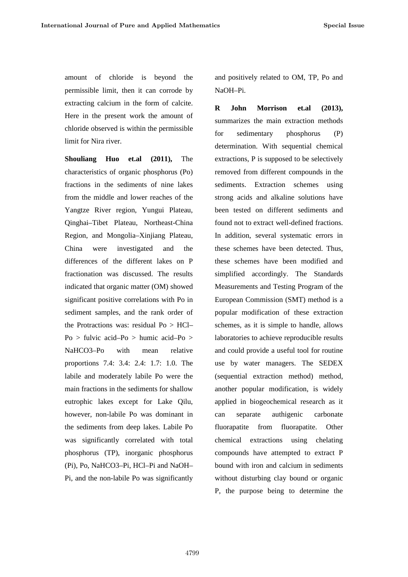amount of chloride is beyond the permissible limit, then it can corrode by extracting calcium in the form of calcite. Here in the present work the amount of chloride observed is within the permissible limit for Nira river.

**Shouliang Huo et.al (2011),** The characteristics of organic phosphorus (Po) fractions in the sediments of nine lakes from the middle and lower reaches of the Yangtze River region, Yungui Plateau, Qinghai–Tibet Plateau, Northeast-China Region, and Mongolia–Xinjiang Plateau, China were investigated and the differences of the different lakes on P fractionation was discussed. The results indicated that organic matter (OM) showed significant positive correlations with Po in sediment samples, and the rank order of the Protractions was: residual Po > HCl– Po > fulvic acid–Po > humic acid–Po > NaHCO3–Po with mean relative proportions 7.4: 3.4: 2.4: 1.7: 1.0. The labile and moderately labile Po were the main fractions in the sediments for shallow eutrophic lakes except for Lake Qilu, however, non-labile Po was dominant in the sediments from deep lakes. Labile Po was significantly correlated with total phosphorus (TP), inorganic phosphorus (Pi), Po, NaHCO3–Pi, HCl–Pi and NaOH– Pi, and the non-labile Po was significantly

and positively related to OM, TP, Po and NaOH–Pi.

**R John Morrison et.al (2013),** summarizes the main extraction methods sedimentary phosphorus (P) determination. With sequential chemical extractions, P is supposed to be selectively removed from different compounds in the sediments. Extraction schemes using strong acids and alkaline solutions have been tested on different sediments and found not to extract well-defined fractions. In addition, several systematic errors in these schemes have been detected. Thus, these schemes have been modified and simplified accordingly. The Standards Measurements and Testing Program of the European Commission (SMT) method is a popular modification of these extraction schemes, as it is simple to handle, allows laboratories to achieve reproducible results and could provide a useful tool for routine use by water managers. The SEDEX (sequential extraction method) method, another popular modification, is widely applied in biogeochemical research as it separate authigenic carbonate fluorapatite from fluorapatite. Other chemical extractions using chelating compounds have attempted to extract P bound with iron and calcium in sediments without disturbing clay bound or organic P, the purpose being to determine the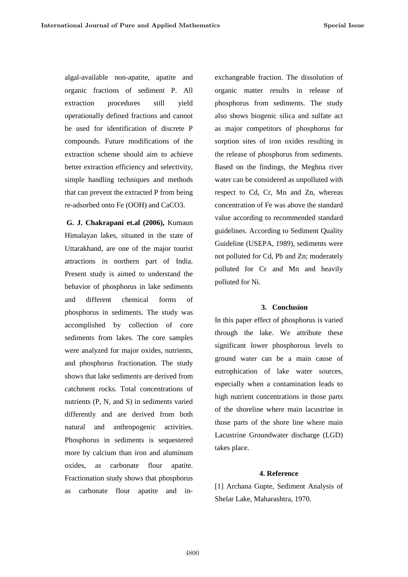algal-available non-apatite, apatite and organic fractions of sediment P. All extraction procedures still vield operationally defined fractions and cannot be used for identification of discrete P compounds. Future modifications of the extraction scheme should aim to achieve better extraction efficiency and selectivity, simple handling techniques and methods that can prevent the extracted P from being re-adsorbed onto Fe (OOH) and CaCO3.

**G. J. Chakrapani et.al (2006),** Kumaun Himalayan lakes, situated in the state of Uttarakhand, are one of the major tourist attractions in northern part of India. Present study is aimed to understand the behavior of phosphorus in lake sediments and different chemical forms of phosphorus in sediments. The study was accomplished by collection of core sediments from lakes. The core samples were analyzed for major oxides, nutrients, and phosphorus fractionation. The study shows that lake sediments are derived from catchment rocks. Total concentrations of nutrients (P, N, and S) in sediments varied differently and are derived from both natural and anthropogenic activities. Phosphorus in sediments is sequestered more by calcium than iron and aluminum oxides, as carbonate flour apatite. Fractionation study shows that phosphorus as carbonate flour apatite and inexchangeable fraction. The dissolution of organic matter results in release of phosphorus from sediments. The study also shows biogenic silica and sulfate act as major competitors of phosphorus for sorption sites of iron oxides resulting in the release of phosphorus from sediments. Based on the findings, the Meghna river water can be considered as unpolluted with respect to Cd, Cr, Mn and Zn, whereas concentration of Fe was above the standard value according to recommended standard guidelines. According to Sediment Quality Guideline (USEPA, 1989), sediments were not polluted for Cd, Pb and Zn; moderately polluted for Cr and Mn and heavily polluted for Ni.

#### **3. Conclusion**

In this paper effect of phosphorus is varied through the lake. We attribute these significant lower phosphorous levels to ground water can be a main cause of eutrophication of lake water sources, especially when a contamination leads to high nutrient concentrations in those parts of the shoreline where main lacustrine in those parts of the shore line where main Lacustrine Groundwater discharge (LGD) takes place.

#### **4. Reference**

[1] Archana Gupte, Sediment Analysis of Shelar Lake, Maharashtra, 1970.